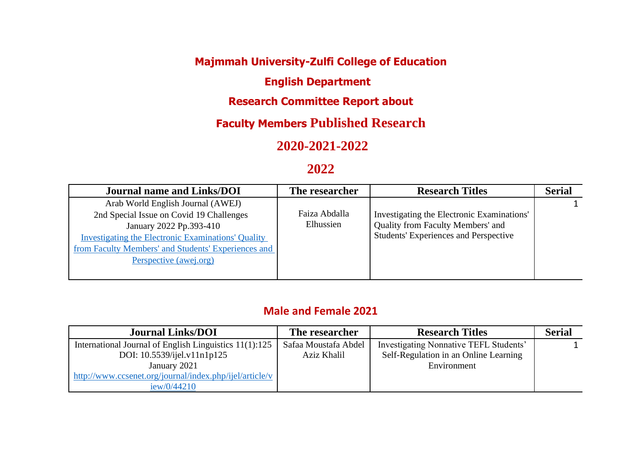## **Majmmah University-Zulfi College of Education**

### **English Department**

### **Research Committee Report about**

# **Faculty Members Published Research**

# **2020-2021-2022**

### **2022**

| <b>Journal name and Links/DOI</b>                         | The researcher | <b>Research Titles</b>                       | <b>Serial</b> |
|-----------------------------------------------------------|----------------|----------------------------------------------|---------------|
| Arab World English Journal (AWEJ)                         |                |                                              |               |
| 2nd Special Issue on Covid 19 Challenges                  | Faiza Abdalla  | Investigating the Electronic Examinations'   |               |
| January 2022 Pp.393-410                                   | Elhussien      | Quality from Faculty Members' and            |               |
| <b>Investigating the Electronic Examinations' Quality</b> |                | <b>Students' Experiences and Perspective</b> |               |
| from Faculty Members' and Students' Experiences and       |                |                                              |               |
| Perspective (awej.org)                                    |                |                                              |               |
|                                                           |                |                                              |               |

#### **Male and Female 2021**

| <b>Journal Links/DOI</b>                                | The researcher       | <b>Research Titles</b>                 | <b>Serial</b> |
|---------------------------------------------------------|----------------------|----------------------------------------|---------------|
| International Journal of English Linguistics 11(1):125  | Safaa Moustafa Abdel | Investigating Nonnative TEFL Students' |               |
| DOI: 10.5539/ijel.v11n1p125                             | Aziz Khalil          | Self-Regulation in an Online Learning  |               |
| January 2021                                            |                      | Environment                            |               |
| http://www.ccsenet.org/journal/index.php/ijel/article/v |                      |                                        |               |
| iew/0/44210                                             |                      |                                        |               |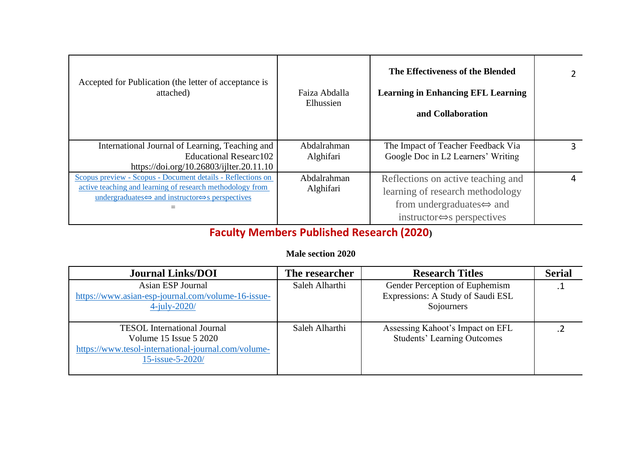| Accepted for Publication (the letter of acceptance is<br>attached)                                                                                                                                           | Faiza Abdalla<br>Elhussien | The Effectiveness of the Blended<br><b>Learning in Enhancing EFL Learning</b><br>and Collaboration                                                                 |  |
|--------------------------------------------------------------------------------------------------------------------------------------------------------------------------------------------------------------|----------------------------|--------------------------------------------------------------------------------------------------------------------------------------------------------------------|--|
| International Journal of Learning, Teaching and<br><b>Educational Researc102</b><br>https://doi.org/10.26803/ijlter.20.11.10                                                                                 | Abdalrahman<br>Alghifari   | The Impact of Teacher Feedback Via<br>Google Doc in L2 Learners' Writing                                                                                           |  |
| Scopus preview - Scopus - Document details - Reflections on<br>active teaching and learning of research methodology from<br>undergraduates $\Leftrightarrow$ and instructor $\Leftrightarrow$ s perspectives | Abdalrahman<br>Alghifari   | Reflections on active teaching and<br>learning of research methodology<br>from undergraduates $\Leftrightarrow$ and<br>instructor $\Leftrightarrow$ s perspectives |  |

# **Faculty Members Published Research (2020)**

#### **Male section 2020**

| <b>Journal Links/DOI</b>                                                                                                                | The researcher | <b>Research Titles</b>                                                            | <b>Serial</b> |
|-----------------------------------------------------------------------------------------------------------------------------------------|----------------|-----------------------------------------------------------------------------------|---------------|
| Asian ESP Journal<br>https://www.asian-esp-journal.com/volume-16-issue-<br>$4$ -july-2020/                                              | Saleh Alharthi | Gender Perception of Euphemism<br>Expressions: A Study of Saudi ESL<br>Sojourners |               |
| <b>TESOL</b> International Journal<br>Volume 15 Issue 5 2020<br>https://www.tesol-international-journal.com/volume-<br>15-issue-5-2020/ | Saleh Alharthi | Assessing Kahoot's Impact on EFL<br><b>Students' Learning Outcomes</b>            |               |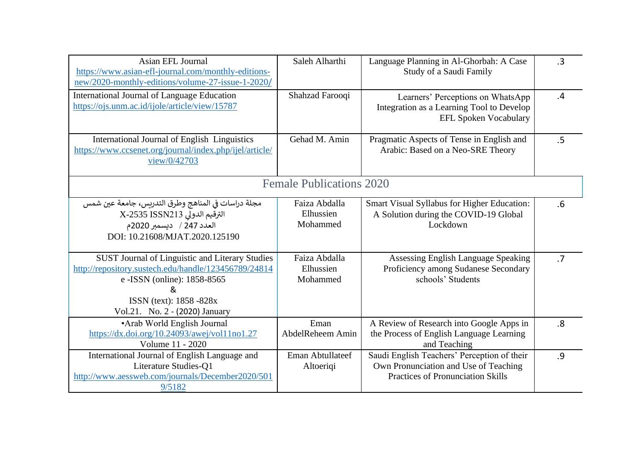| Asian EFL Journal<br>https://www.asian-efl-journal.com/monthly-editions-<br>new/2020-monthly-editions/volume-27-issue-1-2020/                                                                             | Saleh Alharthi                         | Language Planning in Al-Ghorbah: A Case<br>Study of a Saudi Family                                                               | .3             |
|-----------------------------------------------------------------------------------------------------------------------------------------------------------------------------------------------------------|----------------------------------------|----------------------------------------------------------------------------------------------------------------------------------|----------------|
| <b>International Journal of Language Education</b><br>https://ojs.unm.ac.id/ijole/article/view/15787                                                                                                      | Shahzad Farooqi                        | Learners' Perceptions on WhatsApp<br>Integration as a Learning Tool to Develop<br><b>EFL Spoken Vocabulary</b>                   | $\overline{A}$ |
| International Journal of English Linguistics<br>https://www.ccsenet.org/journal/index.php/ijel/article/<br>view/0/42703                                                                                   | Gehad M. Amin                          | Pragmatic Aspects of Tense in English and<br>Arabic: Based on a Neo-SRE Theory                                                   | .5             |
|                                                                                                                                                                                                           | <b>Female Publications 2020</b>        |                                                                                                                                  |                |
| مجلة دراسات في المناهج وطرق التدريس، جامعة عين شمس<br>الترقيم الدولي X-2535 ISSN213<br>العدد 247 / ديسمبر 2020م<br>DOI: 10.21608/MJAT.2020.125190                                                         | Faiza Abdalla<br>Elhussien<br>Mohammed | Smart Visual Syllabus for Higher Education:<br>A Solution during the COVID-19 Global<br>Lockdown                                 | .6             |
| SUST Journal of Linguistic and Literary Studies<br>http://repository.sustech.edu/handle/123456789/24814<br>e - ISSN (online): 1858-8565<br>&<br>ISSN (text): 1858 -828x<br>Vol.21. No. 2 - (2020) January | Faiza Abdalla<br>Elhussien<br>Mohammed | Assessing English Language Speaking<br>Proficiency among Sudanese Secondary<br>schools' Students                                 | .7             |
| • Arab World English Journal<br>https://dx.doi.org/10.24093/awej/vol11no1.27<br>Volume 11 - 2020                                                                                                          | Eman<br>AbdelReheem Amin               | A Review of Research into Google Apps in<br>the Process of English Language Learning<br>and Teaching                             | .8             |
| International Journal of English Language and<br>Literature Studies-Q1<br>http://www.aessweb.com/journals/December2020/501<br>9/5182                                                                      | Eman Abtullateef<br>Altoeriqi          | Saudi English Teachers' Perception of their<br>Own Pronunciation and Use of Teaching<br><b>Practices of Pronunciation Skills</b> | .9             |